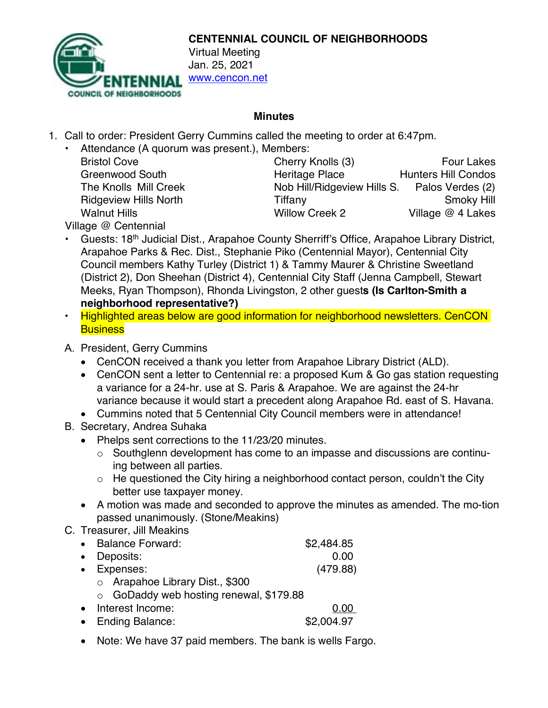

**CENTENNIAL COUNCIL OF NEIGHBORHOODS**

www.cencon.net

## **Minutes**

- 1. Call to order: President Gerry Cummins called the meeting to order at 6:47pm.
	- Attendance (A quorum was present.), Members:

Bristol Cove **Cherry Knolls (3)** Four Lakes Greenwood South **Heritage Place** Hunters Hill Condos The Knolls Mill Creek Nob Hill/Ridgeview Hills S. Palos Verdes (2) Ridgeview Hills North **Tiffany** Tiffany **Smoky Hill** Walnut Hills **Willow Creek 2** Village @ 4 Lakes

Village @ Centennial

- Guests: 18<sup>th</sup> Judicial Dist., Arapahoe County Sherriff's Office, Arapahoe Library District, Arapahoe Parks & Rec. Dist., Stephanie Piko (Centennial Mayor), Centennial City Council members Kathy Turley (District 1) & Tammy Maurer & Christine Sweetland (District 2), Don Sheehan (District 4), Centennial City Staff (Jenna Campbell, Stewart Meeks, Ryan Thompson), Rhonda Livingston, 2 other guest**s (Is Carlton-Smith a neighborhood representative?)**
- Highlighted areas below are good information for neighborhood newsletters. CenCON **Business**
- A. President, Gerry Cummins
	- CenCON received a thank you letter from Arapahoe Library District (ALD).
	- CenCON sent a letter to Centennial re: a proposed Kum & Go gas station requesting a variance for a 24-hr. use at S. Paris & Arapahoe. We are against the 24-hr variance because it would start a precedent along Arapahoe Rd. east of S. Havana.
	- Cummins noted that 5 Centennial City Council members were in attendance!
- B. Secretary, Andrea Suhaka
	- Phelps sent corrections to the 11/23/20 minutes.
		- o Southglenn development has come to an impasse and discussions are continuing between all parties.
		- $\circ$  He questioned the City hiring a neighborhood contact person, couldn't the City better use taxpayer money.
	- A motion was made and seconded to approve the minutes as amended. The mo-tion passed unanimously. (Stone/Meakins)
- C. Treasurer, Jill Meakins

| <b>Balance Forward:</b>                 | \$2,484.85 |
|-----------------------------------------|------------|
| • Deposits:                             | 0.00       |
| • Expenses:                             | (479.88)   |
| $\circ$ Arapahoe Library Dist., \$300   |            |
| ○ GoDaddy web hosting renewal, \$179.88 |            |
| Interest Income:                        |            |
|                                         |            |

- Ending Balance: \$2,004.97
- Note: We have 37 paid members. The bank is wells Fargo.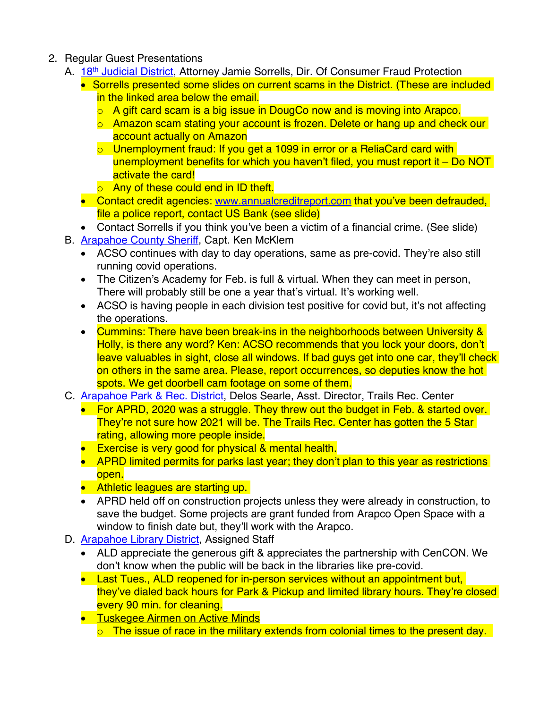- 2. Regular Guest Presentations
	- A. 18<sup>th</sup> [Judicial District,](https://www.courts.state.co.us/Courts/District/Index.cfm?District_ID=18) Attorney Jamie Sorrells, Dir. Of Consumer Fraud Protection
		- Sorrells presented some slides on current scams in the District. (These are included in the linked area below the email.
			- o A gift card scam is a big issue in DougCo now and is moving into Arapco.
			- $\circ$  Amazon scam stating your account is frozen. Delete or hang up and check our account actually on Amazon
			- $\circ$  Unemployment fraud: If you get a 1099 in error or a ReliaCard card with unemployment benefits for which you haven't filed, you must report it – Do NOT activate the card!
			- **o** Any of these could end in ID theft.
		- Contact credit agencies: www.annualcreditreport.com that you've been defrauded, file a police report, contact US Bank (see slide)
		- Contact Sorrells if you think you've been a victim of a financial crime. (See slide)
	- B. **Arapahoe County Sheriff**, Capt. Ken McKlem
		- ACSO continues with day to day operations, same as pre-covid. They're also still running covid operations.
		- The Citizen's Academy for Feb. is full & virtual. When they can meet in person, There will probably still be one a year that's virtual. It's working well.
		- ACSO is having people in each division test positive for covid but, it's not affecting the operations.
		- Cummins: There have been break-ins in the neighborhoods between University & Holly, is there any word? Ken: ACSO recommends that you lock your doors, don't leave valuables in sight, close all windows. If bad guys get into one car, they'll check on others in the same area. Please, report occurrences, so deputies know the hot spots. We get doorbell cam footage on some of them.
	- C. **[Arapahoe Park & Rec. District,](http://www.aprd.org/) Delos Searle, Asst. Director, Trails Rec. Center** 
		- For APRD, 2020 was a struggle. They threw out the budget in Feb. & started over. They're not sure how 2021 will be. The Trails Rec. Center has gotten the 5 Star rating, allowing more people inside.
		- Exercise is very good for physical & mental health.
		- APRD limited permits for parks last year; they don't plan to this year as restrictions open.
		- Athletic leagues are starting up.
		- APRD held off on construction projects unless they were already in construction, to save the budget. Some projects are grant funded from Arapco Open Space with a window to finish date but, they'll work with the Arapco.
	- D. **Arapahoe Library District**, Assigned Staff
		- ALD appreciate the generous gift & appreciates the partnership with CenCON. We don't know when the public will be back in the libraries like pre-covid.
		- Last Tues., ALD reopened for in-person services without an appointment but, they've dialed back hours for Park & Pickup and limited library hours. They're closed every 90 min. for cleaning.
		- **Tuskegee Airmen on Active Minds** 
			- $\circ$  The issue of race in the military extends from colonial times to the present day.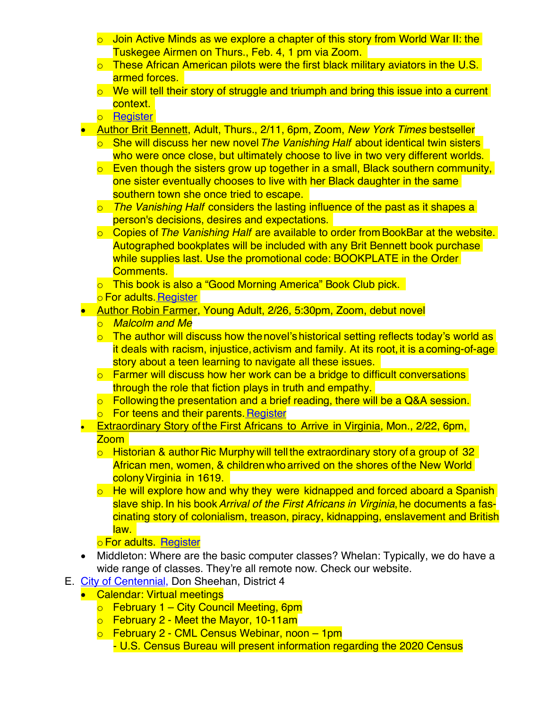- $\circ$  Join Active Minds as we explore a chapter of this story from World War II: the Tuskegee Airmen on Thurs., Feb. 4, 1 pm via Zoom.
- $\circ$  These African American pilots were the first black military aviators in the U.S. armed forces.
- $\circ$  We will tell their story of struggle and triumph and bring this issue into a current context.
- o [Register](https://arapahoelibraries.bibliocommons.com/events/search/q=Tuskegee)
- Author Brit Bennett, Adult, Thurs., 2/11, 6pm, Zoom, *New York Times* bestseller
	- o She will discuss her new novel*The Vanishing Half* about identical twin sisters who were once close, but ultimately choose to live in two very different worlds.
	- $\circ$  Even though the sisters grow up together in a small, Black southern community, one sister eventually chooses to live with her Black daughter in the same southern town she once tried to escape.
	- o *The Vanishing Half* considers the lasting influence of the past as it shapes a person's decisions, desires and expectations.
	- o Copies of*The Vanishing Half* are available to order from BookBar at the website. Autographed bookplates will be included with any Brit Bennett book purchase while supplies last. Use the promotional code: BOOKPLATE in the Order Comments.
	- o This book is also a "Good Morning America" Book Club pick.
	- o For adults. [Register](https://arapahoelibraries.bibliocommons.com/events/search/q=britbennett)
- Author Robin Farmer, Young Adult, 2/26, 5:30pm, Zoom, debut novel
	- o *Malcolm and Me*
	- $\circ$  The author will discuss how the novel's historical setting reflects today's world as it deals with racism, injustice, activism and family. At its root, it is a coming-of-age story about a teen learning to navigate all these issues.
	- $\circ$  Farmer will discuss how her work can be a bridge to difficult conversations through the role that fiction plays in truth and empathy.
	- o Following the presentation and a brief reading, there will be a Q&A session.
	- o For teens and their parents. [Register](https://arapahoelibraries.bibliocommons.com/events/search/q=RobinFarmer)
- Extraordinary Story of the First Africans to Arrive in Virginia, Mon., 2/22, 6pm. Zoom
	- $\circ$  Historian & author Ric Murphy will tell the extraordinary story of a group of 32 African men, women, & childrenwho arrived on the shores of the New World colonyVirginia in 1619.
	- o He will explore how and why they were kidnapped and forced aboard a Spanish slave ship. In his book*Arrival of the First Africans in Virginia*, he documents a fascinating story of colonialism, treason, piracy, kidnapping, enslavement and British law.

## o For adults. [Register](https://arapahoelibraries.bibliocommons.com/events/search/q=RicMurphy)

- Middleton: Where are the basic computer classes? Whelan: Typically, we do have a wide range of classes. They're all remote now. Check our website.
- E. [City of Centennial](https://www.centennialco.gov/Home), Don Sheehan, District 4
	- Calendar: Virtual meetings
		- $\circ$  February 1 City Council Meeting, 6pm
		- $\circ$  February 2 Meet the Mayor, 10-11am
		- o February 2 CML Census Webinar, noon 1pm - U.S. Census Bureau will present information regarding the 2020 Census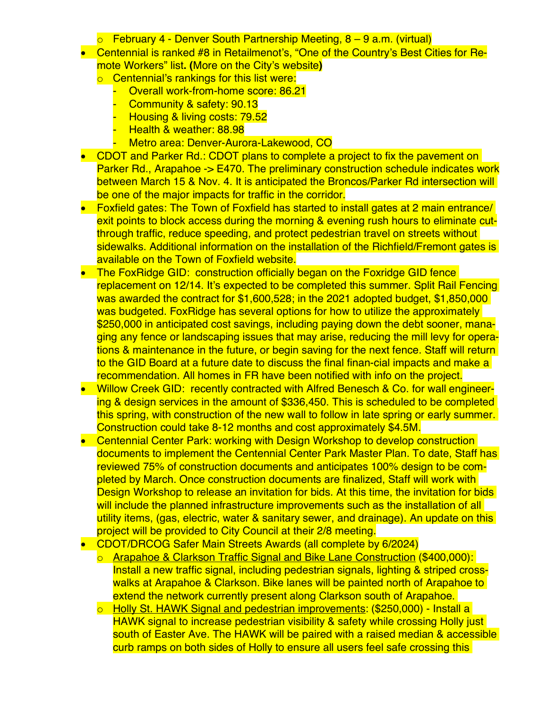- $\circ$  February 4 Denver South Partnership Meeting, 8 9 a.m. (virtual)
- Centennial is ranked #8 in Retailmenot's, "One of the Country's Best Cities for Remote Workers" list**. (**More on the City's website**)**
	- o Centennial's rankings for this list were:
		- Overall work-from-home score: 86.21
		- Community & safety: 90.13
		- Housing & living costs: 79.52
		- Health & weather: 88.98
		- Metro area: Denver-Aurora-Lakewood, CO
- CDOT and Parker Rd.: CDOT plans to complete a project to fix the pavement on Parker Rd., Arapahoe -> E470. The preliminary construction schedule indicates work between March 15 & Nov. 4. It is anticipated the Broncos/Parker Rd intersection will be one of the major impacts for traffic in the corridor.
- Foxfield gates: The Town of Foxfield has started to install gates at 2 main entrance/ exit points to block access during the morning & evening rush hours to eliminate cutthrough traffic, reduce speeding, and protect pedestrian travel on streets without sidewalks. Additional information on the installation of the Richfield/Fremont gates is available on the Town of Foxfield website.
- The FoxRidge GID: construction officially began on the Foxridge GID fence replacement on 12/14. It's expected to be completed this summer. Split Rail Fencing was awarded the contract for \$1,600,528; in the 2021 adopted budget, \$1,850,000 was budgeted. FoxRidge has several options for how to utilize the approximately \$250,000 in anticipated cost savings, including paying down the debt sooner, managing any fence or landscaping issues that may arise, reducing the mill levy for operations & maintenance in the future, or begin saving for the next fence. Staff will return to the GID Board at a future date to discuss the final finan-cial impacts and make a recommendation. All homes in FR have been notified with info on the project.
- Willow Creek GID: recently contracted with Alfred Benesch & Co. for wall engineering & design services in the amount of \$336,450. This is scheduled to be completed this spring, with construction of the new wall to follow in late spring or early summer. Construction could take 8-12 months and cost approximately \$4.5M.
- Centennial Center Park: working with Design Workshop to develop construction documents to implement the Centennial Center Park Master Plan. To date, Staff has reviewed 75% of construction documents and anticipates 100% design to be completed by March. Once construction documents are finalized, Staff will work with Design Workshop to release an invitation for bids. At this time, the invitation for bids will include the planned infrastructure improvements such as the installation of all utility items, (gas, electric, water & sanitary sewer, and drainage). An update on this project will be provided to City Council at their 2/8 meeting.
- CDOT/DRCOG Safer Main Streets Awards (all complete by 6/2024)
	- o Arapahoe & Clarkson Traffic Signal and Bike Lane Construction (\$400,000): Install a new traffic signal, including pedestrian signals, lighting & striped crosswalks at Arapahoe & Clarkson. Bike lanes will be painted north of Arapahoe to extend the network currently present along Clarkson south of Arapahoe.
	- o Holly St. HAWK Signal and pedestrian improvements: (\$250,000) Install a HAWK signal to increase pedestrian visibility & safety while crossing Holly just south of Easter Ave. The HAWK will be paired with a raised median & accessible curb ramps on both sides of Holly to ensure all users feel safe crossing this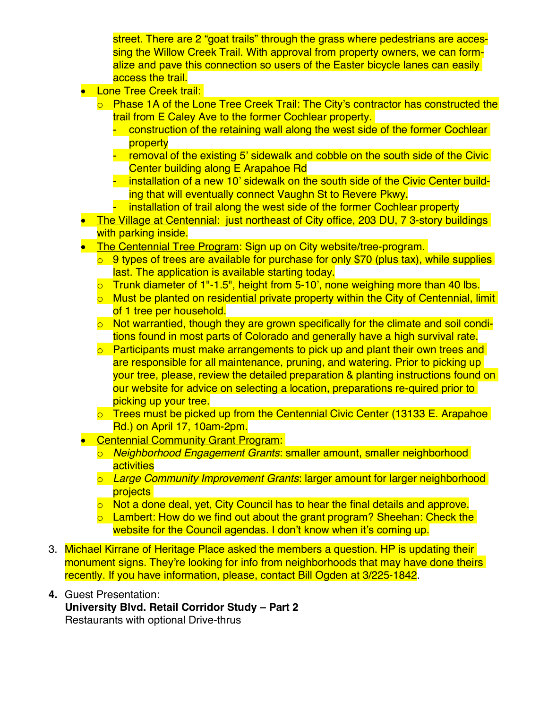street. There are 2 "goat trails" through the grass where pedestrians are accessing the Willow Creek Trail. With approval from property owners, we can formalize and pave this connection so users of the Easter bicycle lanes can easily access the trail.

- Lone Tree Creek trail:
	- $\circ$  Phase 1A of the Lone Tree Creek Trail: The City's contractor has constructed the trail from E Caley Ave to the former Cochlear property.
		- construction of the retaining wall along the west side of the former Cochlear property
		- removal of the existing 5' sidewalk and cobble on the south side of the Civic Center building along E Arapahoe Rd
		- installation of a new 10' sidewalk on the south side of the Civic Center building that will eventually connect Vaughn St to Revere Pkwy.
		- installation of trail along the west side of the former Cochlear property
- The Village at Centennial: just northeast of City office, 203 DU, 7 3-story buildings with parking inside.
- The Centennial Tree Program: Sign up on City website/tree-program.
	- $\circ$  9 types of trees are available for purchase for only \$70 (plus tax), while supplies last. The application is available starting today.
	- $\circ$  Trunk diameter of 1"-1.5", height from 5-10', none weighing more than 40 lbs.
	- $\circ$  Must be planted on residential private property within the City of Centennial, limit of 1 tree per household.
	- o Not warrantied, though they are grown specifically for the climate and soil conditions found in most parts of Colorado and generally have a high survival rate.
	- o Participants must make arrangements to pick up and plant their own trees and are responsible for all maintenance, pruning, and watering. Prior to picking up your tree, please, review the detailed preparation & planting instructions found on our website for advice on selecting a location, preparations re-quired prior to picking up your tree.
	- o Trees must be picked up from the Centennial Civic Center (13133 E. Arapahoe Rd.) on April 17, 10am-2pm.
- Centennial Community Grant Program:
	- o *Neighborhood Engagement Grants*: smaller amount, smaller neighborhood activities
	- o *Large Community Improvement Grants*: larger amount for larger neighborhood projects
	- $\circ$  Not a done deal, yet, City Council has to hear the final details and approve.
	- o Lambert: How do we find out about the grant program? Sheehan: Check the website for the Council agendas. I don't know when it's coming up.
- 3. Michael Kirrane of Heritage Place asked the members a question. HP is updating their monument signs. They're looking for info from neighborhoods that may have done theirs recently. If you have information, please, contact Bill Ogden at 3/225-1842.
- **4.** Guest Presentation: **University Blvd. Retail Corridor Study – Part 2** Restaurants with optional Drive-thrus